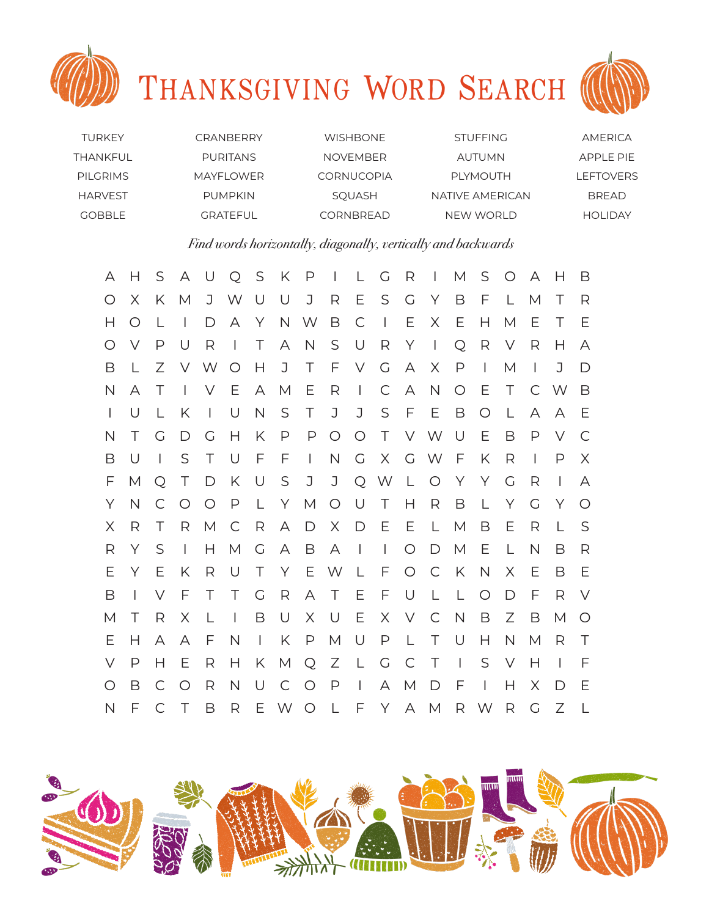

| <b>TURKEY</b>  | CRANBERRY       | <b>WISHBONE</b>   | <b>STUFFING</b>  | AMERICA          |
|----------------|-----------------|-------------------|------------------|------------------|
| THANKFUL       | <b>PURITANS</b> | <b>NOVEMBER</b>   | AUTUMN           | APPI F PIF       |
| PII GRIMS      | MAYFI OWFR      | <b>CORNUCOPIA</b> | <b>PI YMOUTH</b> | <b>LEFTOVERS</b> |
| <b>HARVEST</b> | <b>PUMPKIN</b>  | <b>SOUASH</b>     | NATIVE AMERICAN  | <b>BREAD</b>     |
| GOBBI F        | GRATEEUL        | CORNBREAD         | NFW WORLD        | HOLIDAY          |

## *Find words horizontally, diagonally, vertically and backwards*

| A            | Н            | S            | A U                      |                          |                          |              | Q S K P      |              |                                   |              |              |                | $R$          | M            | S              | $\circ$      | А              | H              | $\mathsf B$  |
|--------------|--------------|--------------|--------------------------|--------------------------|--------------------------|--------------|--------------|--------------|-----------------------------------|--------------|--------------|----------------|--------------|--------------|----------------|--------------|----------------|----------------|--------------|
| O            | $\times$     | K            | M                        |                          | J W                      | $\cup$       | $\cup$       | J            | $\mathsf{R}$                      | E            | S            | G              | Y            | $\mathsf B$  | F              | $\perp$      | M              | $\top$         | $\mathsf{R}$ |
| Н            | $\circ$      | L            | $\overline{\phantom{a}}$ | D                        | $\forall$                | Y            | N            | W            | B                                 | $\mathsf C$  | $\Box$       | E              | X            | Ε            | Н              | M            | Ε              | $\top$         | Ε            |
| O            | V            | $\mathsf{P}$ | U                        | $\mathsf{R}$             | $\mathbf{I}$             | $\top$       | A            | $\mathsf{N}$ | S                                 | U            | R            | Y              | $\mathbf{1}$ | Q            | R              | $\vee$       | R              | Н              | А            |
| B            | L            | Ζ            | $\vee$                   | W                        | $\circ$                  | Н            | J            | T            | $\mathsf F$                       | $\vee$       | G            | $\mathsf{A}$   | $\times$     | $\mathsf{P}$ | $\overline{1}$ | M            | $\overline{1}$ | J              | $\mathsf{D}$ |
| N            | A            | $\top$       | $\overline{1}$           | $\vee$                   | Ε                        | $\forall$    | M            | Ε            | R                                 | $\mathbf{I}$ | $\mathsf{C}$ | $\mathsf{A}$   | $\mathsf{N}$ | $\circ$      | E              | $\top$       | $\mathsf{C}$   | W              | B            |
| $\mathbf{I}$ | U            | L            | K                        | $\overline{\phantom{a}}$ | U                        | $\mathsf{N}$ | S            | $\top$       | J                                 | J            |              | S F E          |              | B            | $\bigcirc$     | L            | А              | A              | Ε            |
| N            | T            | G            | $\Box$                   | G                        | Н                        | K            | P            | P            | $\circ$                           | $\bigcirc$   | $\top$       |                | V W U        |              | E              | B            | P              | V              | $\mathsf{C}$ |
| B            | U            | $\mathbf{I}$ | S                        | $\top$                   | U                        | F            | F            | $\mathbf{I}$ | $\mathsf{N}$                      | $\mathsf{C}$ | X G W F      |                |              |              | K              | R            | $\overline{1}$ | $\mathsf{P}$   | $\times$     |
| F            | M            | $\circ$      | $\top$                   | $\mathsf{D}$             | K                        | $\cup$       | S            | J            | J                                 |              | Q W L O Y    |                |              |              | Y              | G            | R              | $\overline{1}$ | $\forall$    |
| Υ            | $\mathsf{N}$ | C            | $\circ$                  | $\bigcirc$               | $\mathsf{P}$             | L            | Y            | M            | $\bigcirc$                        | $\cup$       | $\top$       | H.             | $\mathsf{R}$ | B            | $\lfloor$      | Υ            | G              | Υ              | $\circ$      |
| Χ            | R            | T            | R                        | М                        | $\mathsf{C}$             | R            | A            | D            | $\times$                          | D            | E            | E              | $\mathsf{L}$ | M            | B              | Ε            | R              | L              | S            |
| R            | Υ            | S            | $\mathbf{I}$             | Н                        | M                        | G            | $\forall$    | B            | A                                 | $\Box$       | $\mathbf{L}$ | $\circ$        | D            | M            | Ε              | L            | $\mathsf{N}$   | B              | R            |
| Ε            | Y            | Ε            | K                        | R                        | U                        | $\top$       | Y            | E            | W                                 | L F          |              | $\circ$        | $\mathsf{C}$ | K            | $\mathsf{N}$   | X            | Ε              | B              | Ε            |
| B            | $\mathbf{I}$ | V            | F                        | Τ                        | Τ                        | G            | R            | A            | $\top$                            | Ε            | F            | $\cup$         | $\mathsf{L}$ | L            | $\bigcirc$     | D            | F              | R              | $\vee$       |
| M            | $\top$       | R            | X                        | L                        | $\overline{\phantom{a}}$ | B            | U            | $\times$     | $\cup$                            | E            | $X -$        | $\vee$         | $\mathsf{C}$ | $\mathsf N$  | B              | Ζ            | B              | М              | $\circ$      |
| Е            | Н            | А            | A                        | F                        | $\mathsf{N}$             | $\mathbf{I}$ | K            | $\mathsf{P}$ | $\mathsf{M}% _{H}=\mathsf{M}_{H}$ | $\cup$       | $\mathsf{P}$ | $\mathsf{L}$   | $\top$       | $\cup$       | H              | $\mathsf{N}$ | M              | R              | $\top$       |
| $\vee$       | P            | Н            | Ε                        | R                        | Н                        | K            | M            | Q            | Z                                 | L G          |              | $\overline{C}$ | $\top$       | $\mathbf{L}$ | S              | V            | Н              | $\perp$        | F            |
| O            | B            | $\mathsf{C}$ | $\circ$                  | R                        | $\mathsf{N}$             | U            | $\mathsf{C}$ | $\bigcirc$   | $\mathsf{P}$                      | $\mathbf{L}$ | $\mathsf{A}$ | M              | $\Box$       | - F          | $\overline{1}$ | Н            | X              | $\Box$         | Ε            |
| N            | F            | $\mathsf{C}$ | $\top$                   | B                        | R                        |              | E W O        |              | $\perp$                           |              | F Y          | A              |              |              | M R W          | R            | G              | Ζ              | $\mathsf{L}$ |